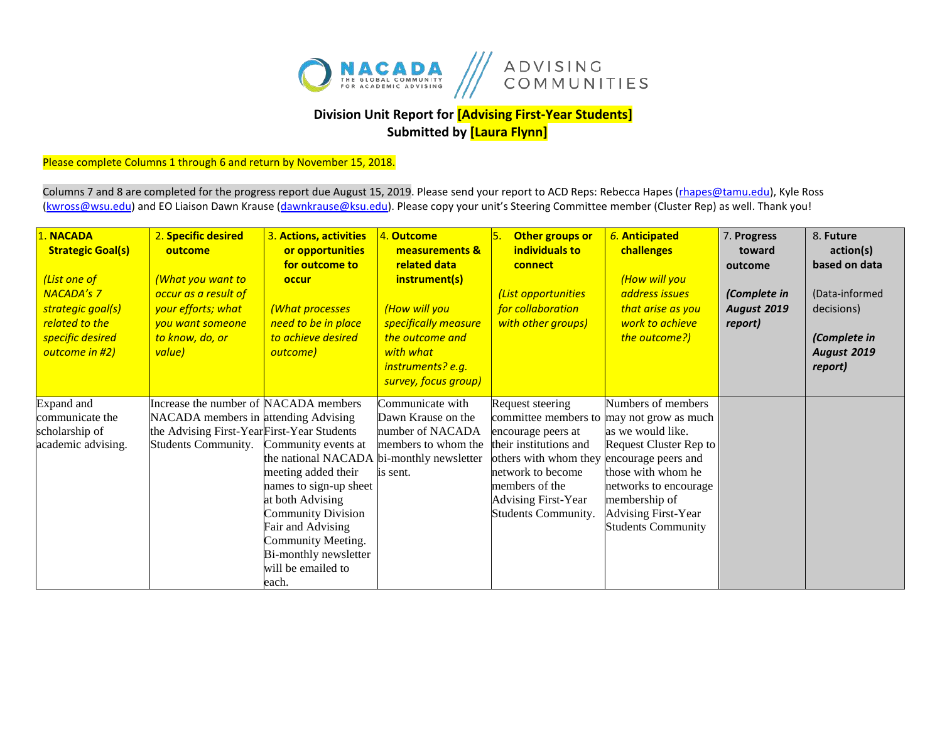

## **Division Unit Report for [Advising First-Year Students] Submitted by [Laura Flynn]**

## Please complete Columns 1 through 6 and return by November 15, 2018.

Columns 7 and 8 are completed for the progress report due August 15, 2019. Please send your report to ACD Reps: Rebecca Hapes (*rhapes@tamu.edu*), Kyle Ross [\(kwross@wsu.edu\)](mailto:kwross@wsu.edu) and EO Liaison Dawn Krause (dawnkrause@ksu.edu). Please copy your unit's Steering Committee member (Cluster Rep) as well. Thank you!

| 1. NACADA<br><b>Strategic Goal(s)</b><br>(List one of<br><b>NACADA's 7</b><br>strategic goal(s)<br>related to the<br>specific desired<br>outcome in #2) | 2. Specific desired<br>outcome<br>What you want to<br>occur as a result of<br>your efforts; what<br>you want someone<br>to know, do, or<br>value)  | 3. Actions, activities<br>or opportunities<br>for outcome to<br>occur<br>(What processes<br>need to be in place<br>to achieve desired<br>outcome)                                                                                                                     | 4. Outcome<br>measurements &<br>related data<br>instrument(s)<br>(How will you<br>specifically measure<br>the outcome and<br>with what<br>instruments? e.g.<br>survey, focus group) | Other groups or<br>individuals to<br>connect<br>List opportunities<br>for collaboration<br>with other groups)                                                                                                 | 6. Anticipated<br>challenges<br>(How will you<br>address issues<br>that arise as you<br>work to achieve<br>the outcome?)                                                                                                                    | 7. Progress<br>toward<br>outcome<br>(Complete in<br><b>August 2019</b><br>report) | 8. Future<br>action(s)<br>based on data<br>(Data-informed<br>decisions)<br>(Complete in<br>August 2019<br>report) |
|---------------------------------------------------------------------------------------------------------------------------------------------------------|----------------------------------------------------------------------------------------------------------------------------------------------------|-----------------------------------------------------------------------------------------------------------------------------------------------------------------------------------------------------------------------------------------------------------------------|-------------------------------------------------------------------------------------------------------------------------------------------------------------------------------------|---------------------------------------------------------------------------------------------------------------------------------------------------------------------------------------------------------------|---------------------------------------------------------------------------------------------------------------------------------------------------------------------------------------------------------------------------------------------|-----------------------------------------------------------------------------------|-------------------------------------------------------------------------------------------------------------------|
| Expand and<br>communicate the<br>scholarship of<br>academic advising.                                                                                   | Increase the number of NACADA members<br>NACADA members in attending Advising<br>the Advising First-YearFirst-Year Students<br>Students Community. | Community events at<br>the national NACADA bi-monthly newsletter<br>meeting added their<br>names to sign-up sheet<br>at both Advising<br><b>Community Division</b><br>Fair and Advising<br>Community Meeting.<br>Bi-monthly newsletter<br>will be emailed to<br>each. | Communicate with<br>Dawn Krause on the<br>number of NACADA<br>members to whom the<br>is sent.                                                                                       | Request steering<br>committee members to<br>encourage peers at<br>their institutions and<br>others with whom they<br>network to become<br>members of the<br><b>Advising First-Year</b><br>Students Community. | Numbers of members<br>may not grow as much<br>as we would like.<br>Request Cluster Rep to<br>encourage peers and<br>those with whom he<br>networks to encourage<br>membership of<br><b>Advising First-Year</b><br><b>Students Community</b> |                                                                                   |                                                                                                                   |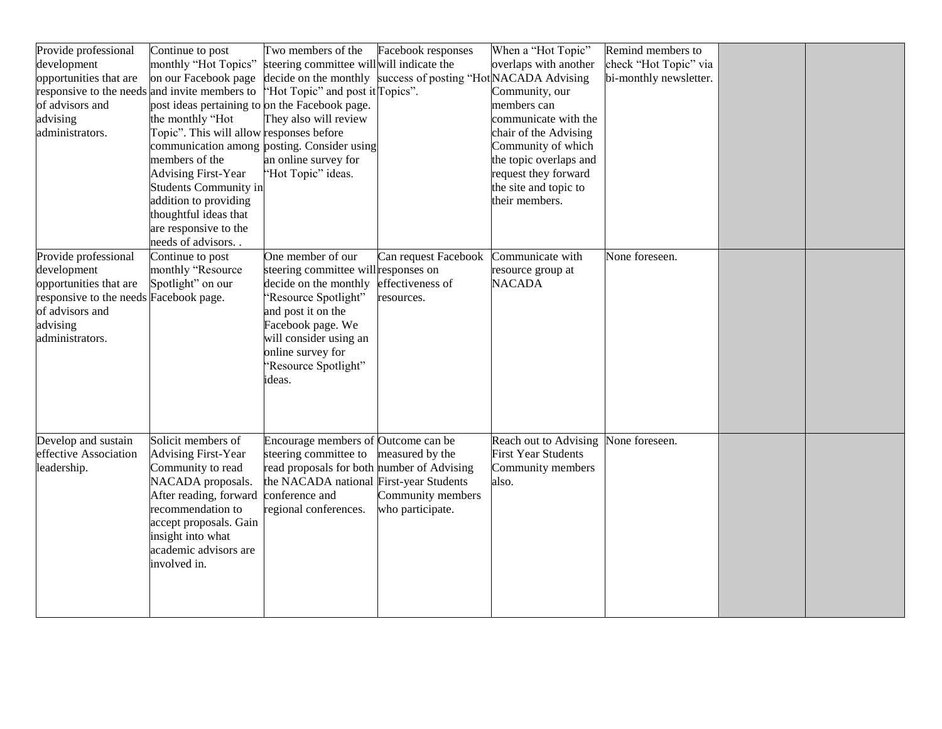| Provide professional                          | Continue to post                               | Two members of the                                            | Facebook responses         | When a "Hot Topic"         | Remind members to      |  |
|-----------------------------------------------|------------------------------------------------|---------------------------------------------------------------|----------------------------|----------------------------|------------------------|--|
| development                                   | monthly "Hot Topics"                           | steering committee will will indicate the                     |                            | overlaps with another      | check "Hot Topic" via  |  |
| opportunities that are                        | on our Facebook page                           | decide on the monthly success of posting "HotNACADA Advising" |                            |                            | bi-monthly newsletter. |  |
| responsive to the needs and invite members to |                                                | "Hot Topic" and post it Topics".                              |                            | Community, our             |                        |  |
| of advisors and                               | post ideas pertaining to on the Facebook page. |                                                               |                            | members can                |                        |  |
| advising                                      | the monthly "Hot                               | They also will review                                         |                            | communicate with the       |                        |  |
| administrators.                               | Topic". This will allow responses before       |                                                               |                            | chair of the Advising      |                        |  |
|                                               |                                                | communication among posting. Consider using                   |                            | Community of which         |                        |  |
|                                               | members of the                                 | an online survey for                                          |                            | the topic overlaps and     |                        |  |
|                                               | <b>Advising First-Year</b>                     | "Hot Topic" ideas.                                            |                            | request they forward       |                        |  |
|                                               | <b>Students Community in</b>                   |                                                               |                            | the site and topic to      |                        |  |
|                                               | addition to providing                          |                                                               |                            | their members.             |                        |  |
|                                               | thoughtful ideas that                          |                                                               |                            |                            |                        |  |
|                                               | are responsive to the                          |                                                               |                            |                            |                        |  |
|                                               | needs of advisors                              |                                                               |                            |                            |                        |  |
| Provide professional                          | Continue to post                               | One member of our                                             | Can request Facebook       | Communicate with           | None foreseen.         |  |
| development                                   | monthly "Resource                              | steering committee will responses on                          |                            | resource group at          |                        |  |
| opportunities that are                        | Spotlight" on our                              | decide on the monthly                                         | effectiveness of           | <b>NACADA</b>              |                        |  |
| responsive to the needs Facebook page.        |                                                | "Resource Spotlight"                                          | resources.                 |                            |                        |  |
| of advisors and                               |                                                | and post it on the                                            |                            |                            |                        |  |
| advising                                      |                                                | Facebook page. We                                             |                            |                            |                        |  |
| administrators.                               |                                                | will consider using an                                        |                            |                            |                        |  |
|                                               |                                                | online survey for                                             |                            |                            |                        |  |
|                                               |                                                | "Resource Spotlight"                                          |                            |                            |                        |  |
|                                               |                                                | ideas.                                                        |                            |                            |                        |  |
|                                               |                                                |                                                               |                            |                            |                        |  |
|                                               |                                                |                                                               |                            |                            |                        |  |
|                                               |                                                |                                                               |                            |                            |                        |  |
| Develop and sustain                           | Solicit members of                             | Encourage members of Outcome can be                           |                            | Reach out to Advising      | None foreseen.         |  |
| effective Association                         | <b>Advising First-Year</b>                     | steering committee to                                         | measured by the            | <b>First Year Students</b> |                        |  |
| leadership.                                   | Community to read                              | read proposals for both                                       | number of Advising         | Community members          |                        |  |
|                                               | NACADA proposals.                              | the NACADA national                                           | <b>First-year Students</b> | also.                      |                        |  |
|                                               | After reading, forward                         | conference and                                                | Community members          |                            |                        |  |
|                                               | recommendation to                              | regional conferences.                                         | who participate.           |                            |                        |  |
|                                               | accept proposals. Gain                         |                                                               |                            |                            |                        |  |
|                                               | insight into what                              |                                                               |                            |                            |                        |  |
|                                               | academic advisors are                          |                                                               |                            |                            |                        |  |
|                                               | involved in.                                   |                                                               |                            |                            |                        |  |
|                                               |                                                |                                                               |                            |                            |                        |  |
|                                               |                                                |                                                               |                            |                            |                        |  |
|                                               |                                                |                                                               |                            |                            |                        |  |
|                                               |                                                |                                                               |                            |                            |                        |  |